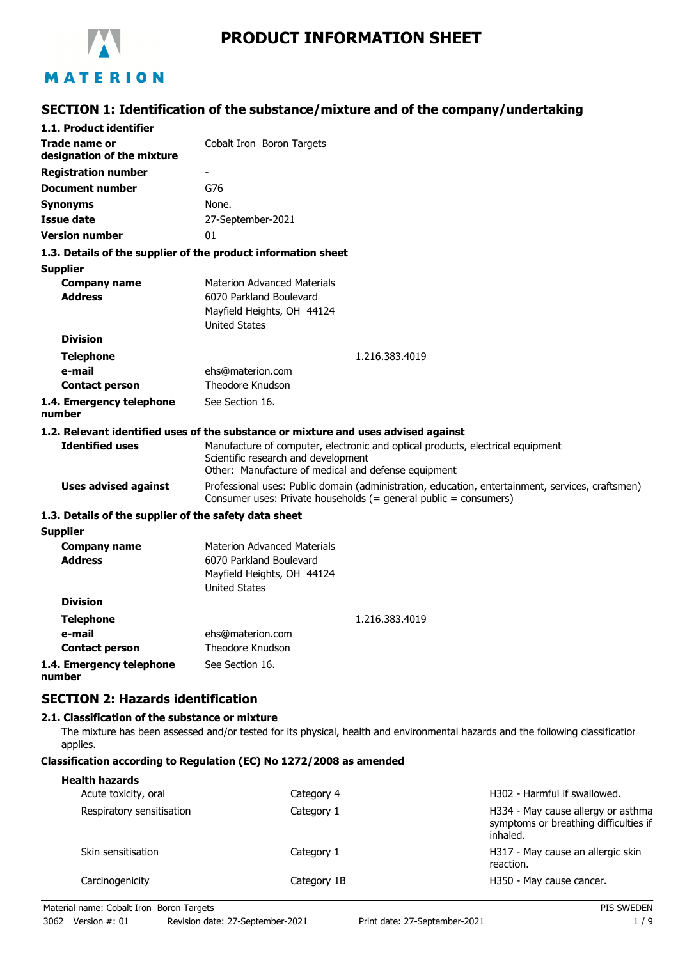

# **PRODUCT INFORMATION SHEET**

# **SECTION 1: Identification of the substance/mixture and of the company/undertaking**

| 1.1. Product identifier                               |                                                                                                                                                                        |  |
|-------------------------------------------------------|------------------------------------------------------------------------------------------------------------------------------------------------------------------------|--|
| Trade name or                                         | Cobalt Iron Boron Targets                                                                                                                                              |  |
| designation of the mixture                            |                                                                                                                                                                        |  |
| <b>Registration number</b>                            |                                                                                                                                                                        |  |
| <b>Document number</b>                                | G76                                                                                                                                                                    |  |
| <b>Synonyms</b>                                       | None.                                                                                                                                                                  |  |
| <b>Issue date</b>                                     | 27-September-2021                                                                                                                                                      |  |
| <b>Version number</b>                                 | 01                                                                                                                                                                     |  |
|                                                       | 1.3. Details of the supplier of the product information sheet                                                                                                          |  |
| <b>Supplier</b>                                       |                                                                                                                                                                        |  |
| <b>Company name</b>                                   | <b>Materion Advanced Materials</b>                                                                                                                                     |  |
| <b>Address</b>                                        | 6070 Parkland Boulevard                                                                                                                                                |  |
|                                                       | Mayfield Heights, OH 44124                                                                                                                                             |  |
|                                                       | <b>United States</b>                                                                                                                                                   |  |
| <b>Division</b>                                       |                                                                                                                                                                        |  |
| <b>Telephone</b>                                      | 1.216.383.4019                                                                                                                                                         |  |
| e-mail                                                | ehs@materion.com<br><b>Theodore Knudson</b>                                                                                                                            |  |
| <b>Contact person</b>                                 |                                                                                                                                                                        |  |
| 1.4. Emergency telephone<br>number                    | See Section 16.                                                                                                                                                        |  |
|                                                       | 1.2. Relevant identified uses of the substance or mixture and uses advised against                                                                                     |  |
| <b>Identified uses</b>                                | Manufacture of computer, electronic and optical products, electrical equipment                                                                                         |  |
|                                                       | Scientific research and development                                                                                                                                    |  |
|                                                       | Other: Manufacture of medical and defense equipment                                                                                                                    |  |
| <b>Uses advised against</b>                           | Professional uses: Public domain (administration, education, entertainment, services, craftsmen)<br>Consumer uses: Private households $(=$ general public = consumers) |  |
| 1.3. Details of the supplier of the safety data sheet |                                                                                                                                                                        |  |
| <b>Supplier</b>                                       |                                                                                                                                                                        |  |
| <b>Company name</b>                                   | <b>Materion Advanced Materials</b>                                                                                                                                     |  |
| <b>Address</b>                                        | 6070 Parkland Boulevard                                                                                                                                                |  |
|                                                       | Mayfield Heights, OH 44124                                                                                                                                             |  |
| <b>Division</b>                                       | <b>United States</b>                                                                                                                                                   |  |
|                                                       |                                                                                                                                                                        |  |
| <b>Telephone</b>                                      | 1.216.383.4019                                                                                                                                                         |  |
| e-mail                                                | ehs@materion.com                                                                                                                                                       |  |
| <b>Contact person</b>                                 | Theodore Knudson                                                                                                                                                       |  |
| 1.4. Emergency telephone<br>number                    | See Section 16.                                                                                                                                                        |  |
| <b>SECTION 2: Hazards identification</b>              |                                                                                                                                                                        |  |
| 2.1. Classification of the substance or mixture       |                                                                                                                                                                        |  |

The mixture has been assessed and/or tested for its physical, health and environmental hazards and the following classification applies.

### **Classification according to Regulation (EC) No 1272/2008 as amended**

| <b>Health hazards</b><br>Acute toxicity, oral | Category 4  | H302 - Harmful if swallowed.                                                            |
|-----------------------------------------------|-------------|-----------------------------------------------------------------------------------------|
| Respiratory sensitisation                     | Category 1  | H334 - May cause allergy or asthma<br>symptoms or breathing difficulties if<br>inhaled. |
| Skin sensitisation                            | Category 1  | H317 - May cause an allergic skin<br>reaction.                                          |
| Carcinogenicity                               | Category 1B | H350 - May cause cancer.                                                                |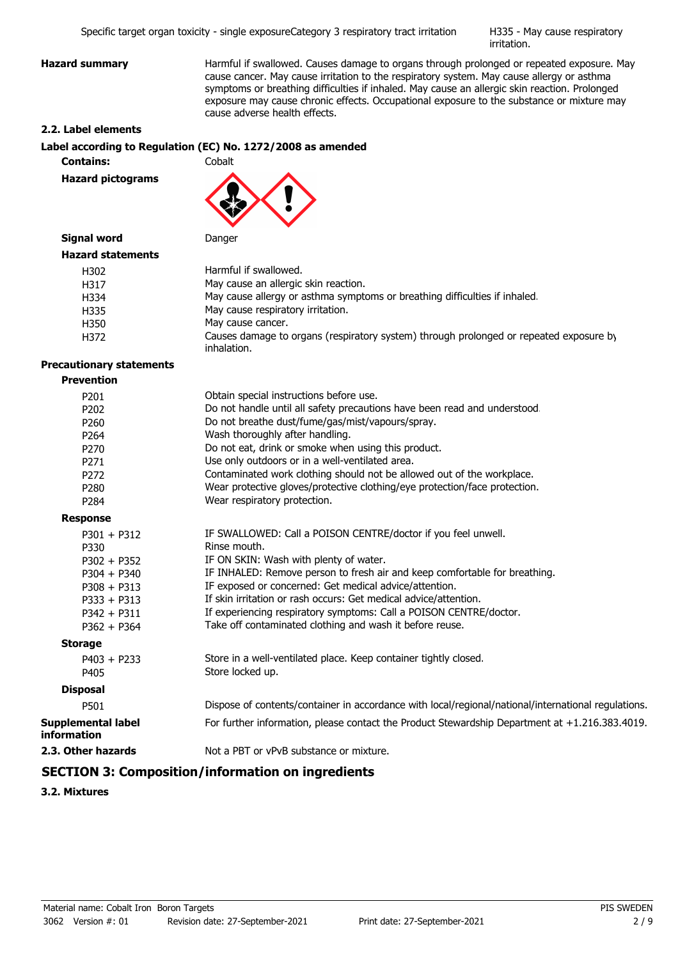H335 - May cause respiratory irritation.

**Hazard summary Harmful if swallowed. Causes damage to organs through prolonged or repeated exposure. May** cause cancer. May cause irritation to the respiratory system. May cause allergy or asthma symptoms or breathing difficulties if inhaled. May cause an allergic skin reaction. Prolonged exposure may cause chronic effects. Occupational exposure to the substance or mixture may cause adverse health effects.

#### **2.2. Label elements**

### **Label according to Regulation (EC) No. 1272/2008 as amended**

**Contains:** Cobalt

**Hazard pictograms**



# **Signal word** Danger

| <b>Hazard statements</b> |                                                                                                       |
|--------------------------|-------------------------------------------------------------------------------------------------------|
| H302                     | Harmful if swallowed.                                                                                 |
| H317                     | May cause an allergic skin reaction.                                                                  |
| H334                     | May cause allergy or asthma symptoms or breathing difficulties if inhaled.                            |
| H335                     | May cause respiratory irritation.                                                                     |
| H350                     | May cause cancer.                                                                                     |
| H372                     | Causes damage to organs (respiratory system) through prolonged or repeated exposure by<br>inhalation. |

### **Precautionary statements**

| <b>Prevention</b> |
|-------------------|
|-------------------|

| P201                                            | Obtain special instructions before use.                                                             |
|-------------------------------------------------|-----------------------------------------------------------------------------------------------------|
| P <sub>202</sub>                                | Do not handle until all safety precautions have been read and understood.                           |
| P260                                            | Do not breathe dust/fume/gas/mist/vapours/spray.                                                    |
| P264                                            | Wash thoroughly after handling.                                                                     |
| P <sub>270</sub>                                | Do not eat, drink or smoke when using this product.                                                 |
| P271                                            | Use only outdoors or in a well-ventilated area.                                                     |
| P <sub>272</sub>                                | Contaminated work clothing should not be allowed out of the workplace.                              |
| P <sub>280</sub>                                | Wear protective gloves/protective clothing/eye protection/face protection.                          |
| P284                                            | Wear respiratory protection.                                                                        |
| <b>Response</b>                                 |                                                                                                     |
| $P301 + P312$                                   | IF SWALLOWED: Call a POISON CENTRE/doctor if you feel unwell.                                       |
| P330                                            | Rinse mouth.                                                                                        |
| $P302 + P352$                                   | IF ON SKIN: Wash with plenty of water.                                                              |
| $P304 + P340$                                   | IF INHALED: Remove person to fresh air and keep comfortable for breathing.                          |
| $P308 + P313$                                   | IF exposed or concerned: Get medical advice/attention.                                              |
| $P333 + P313$                                   | If skin irritation or rash occurs: Get medical advice/attention.                                    |
| $P342 + P311$                                   | If experiencing respiratory symptoms: Call a POISON CENTRE/doctor.                                  |
| $P362 + P364$                                   | Take off contaminated clothing and wash it before reuse.                                            |
| <b>Storage</b>                                  |                                                                                                     |
| $P403 + P233$                                   | Store in a well-ventilated place. Keep container tightly closed.                                    |
| P405                                            | Store locked up.                                                                                    |
| <b>Disposal</b>                                 |                                                                                                     |
| P501                                            | Dispose of contents/container in accordance with local/regional/national/international regulations. |
| <b>Supplemental label</b><br><b>information</b> | For further information, please contact the Product Stewardship Department at +1.216.383.4019.      |
| 2.3. Other hazards                              | Not a PBT or vPvB substance or mixture.                                                             |

# **SECTION 3: Composition/information on ingredients**

**3.2. Mixtures**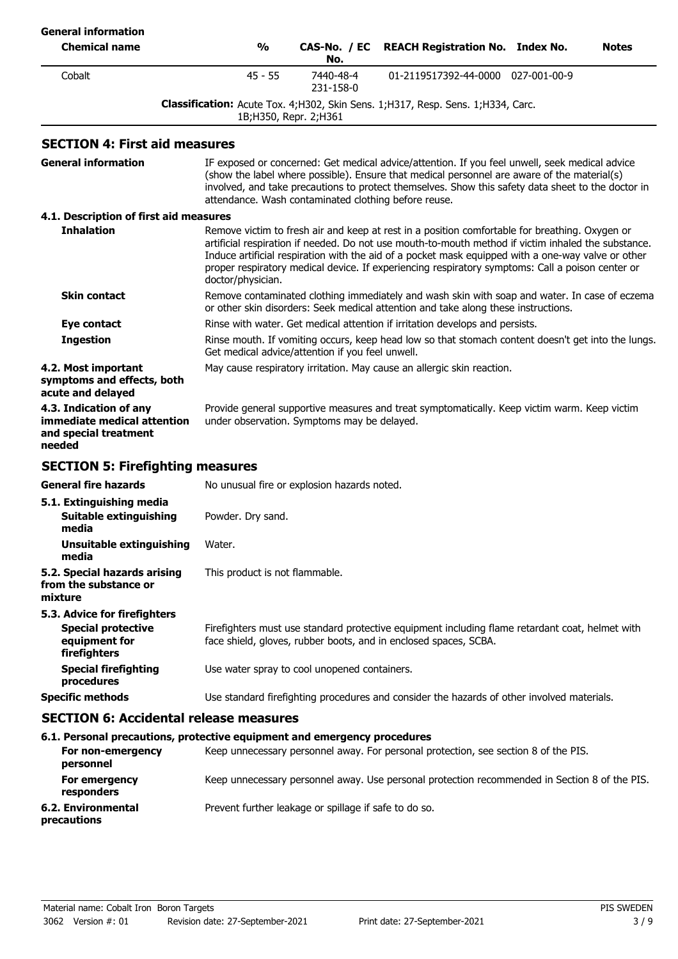| <b>General information</b>                                                                 |                                                                                                                                                                                                                                                                                                                                                             |                                              |                                                                                                                                                                                                                                                                                                                                                                                                                 |              |
|--------------------------------------------------------------------------------------------|-------------------------------------------------------------------------------------------------------------------------------------------------------------------------------------------------------------------------------------------------------------------------------------------------------------------------------------------------------------|----------------------------------------------|-----------------------------------------------------------------------------------------------------------------------------------------------------------------------------------------------------------------------------------------------------------------------------------------------------------------------------------------------------------------------------------------------------------------|--------------|
| <b>Chemical name</b>                                                                       | $\frac{0}{0}$                                                                                                                                                                                                                                                                                                                                               | CAS-No. / EC<br>No.                          | <b>REACH Registration No. Index No.</b>                                                                                                                                                                                                                                                                                                                                                                         | <b>Notes</b> |
| Cobalt                                                                                     | $45 - 55$                                                                                                                                                                                                                                                                                                                                                   | 7440-48-4<br>231-158-0                       | 01-2119517392-44-0000 027-001-00-9                                                                                                                                                                                                                                                                                                                                                                              |              |
|                                                                                            |                                                                                                                                                                                                                                                                                                                                                             | 1B; H350, Repr. 2; H361                      | Classification: Acute Tox. 4;H302, Skin Sens. 1;H317, Resp. Sens. 1;H334, Carc.                                                                                                                                                                                                                                                                                                                                 |              |
| <b>SECTION 4: First aid measures</b>                                                       |                                                                                                                                                                                                                                                                                                                                                             |                                              |                                                                                                                                                                                                                                                                                                                                                                                                                 |              |
| <b>General information</b>                                                                 | IF exposed or concerned: Get medical advice/attention. If you feel unwell, seek medical advice<br>(show the label where possible). Ensure that medical personnel are aware of the material(s)<br>involved, and take precautions to protect themselves. Show this safety data sheet to the doctor in<br>attendance. Wash contaminated clothing before reuse. |                                              |                                                                                                                                                                                                                                                                                                                                                                                                                 |              |
| 4.1. Description of first aid measures                                                     |                                                                                                                                                                                                                                                                                                                                                             |                                              |                                                                                                                                                                                                                                                                                                                                                                                                                 |              |
| <b>Inhalation</b>                                                                          | doctor/physician.                                                                                                                                                                                                                                                                                                                                           |                                              | Remove victim to fresh air and keep at rest in a position comfortable for breathing. Oxygen or<br>artificial respiration if needed. Do not use mouth-to-mouth method if victim inhaled the substance.<br>Induce artificial respiration with the aid of a pocket mask equipped with a one-way valve or other<br>proper respiratory medical device. If experiencing respiratory symptoms: Call a poison center or |              |
| <b>Skin contact</b>                                                                        | Remove contaminated clothing immediately and wash skin with soap and water. In case of eczema<br>or other skin disorders: Seek medical attention and take along these instructions.                                                                                                                                                                         |                                              |                                                                                                                                                                                                                                                                                                                                                                                                                 |              |
| Eye contact                                                                                |                                                                                                                                                                                                                                                                                                                                                             |                                              | Rinse with water. Get medical attention if irritation develops and persists.                                                                                                                                                                                                                                                                                                                                    |              |
| <b>Ingestion</b>                                                                           | Rinse mouth. If vomiting occurs, keep head low so that stomach content doesn't get into the lungs.<br>Get medical advice/attention if you feel unwell.                                                                                                                                                                                                      |                                              |                                                                                                                                                                                                                                                                                                                                                                                                                 |              |
| 4.2. Most important<br>symptoms and effects, both<br>acute and delayed                     |                                                                                                                                                                                                                                                                                                                                                             |                                              | May cause respiratory irritation. May cause an allergic skin reaction.                                                                                                                                                                                                                                                                                                                                          |              |
| 4.3. Indication of any<br>immediate medical attention<br>and special treatment<br>needed   |                                                                                                                                                                                                                                                                                                                                                             | under observation. Symptoms may be delayed.  | Provide general supportive measures and treat symptomatically. Keep victim warm. Keep victim                                                                                                                                                                                                                                                                                                                    |              |
| <b>SECTION 5: Firefighting measures</b>                                                    |                                                                                                                                                                                                                                                                                                                                                             |                                              |                                                                                                                                                                                                                                                                                                                                                                                                                 |              |
| <b>General fire hazards</b>                                                                |                                                                                                                                                                                                                                                                                                                                                             | No unusual fire or explosion hazards noted.  |                                                                                                                                                                                                                                                                                                                                                                                                                 |              |
| 5.1. Extinguishing media<br><b>Suitable extinguishing</b><br>media                         | Powder. Dry sand.                                                                                                                                                                                                                                                                                                                                           |                                              |                                                                                                                                                                                                                                                                                                                                                                                                                 |              |
| <b>Unsuitable extinguishing</b><br>media                                                   | Water.                                                                                                                                                                                                                                                                                                                                                      |                                              |                                                                                                                                                                                                                                                                                                                                                                                                                 |              |
| 5.2. Special hazards arising<br>from the substance or<br>mixture                           | This product is not flammable.                                                                                                                                                                                                                                                                                                                              |                                              |                                                                                                                                                                                                                                                                                                                                                                                                                 |              |
| 5.3. Advice for firefighters<br><b>Special protective</b><br>equipment for<br>firefighters |                                                                                                                                                                                                                                                                                                                                                             |                                              | Firefighters must use standard protective equipment including flame retardant coat, helmet with<br>face shield, gloves, rubber boots, and in enclosed spaces, SCBA.                                                                                                                                                                                                                                             |              |
| <b>Special firefighting</b><br>procedures                                                  |                                                                                                                                                                                                                                                                                                                                                             | Use water spray to cool unopened containers. |                                                                                                                                                                                                                                                                                                                                                                                                                 |              |
| <b>Specific methods</b>                                                                    |                                                                                                                                                                                                                                                                                                                                                             |                                              | Use standard firefighting procedures and consider the hazards of other involved materials.                                                                                                                                                                                                                                                                                                                      |              |
| <b>SECTION 6: Accidental release measures</b>                                              |                                                                                                                                                                                                                                                                                                                                                             |                                              |                                                                                                                                                                                                                                                                                                                                                                                                                 |              |
| 6.1. Personal precautions, protective equipment and emergency procedures                   |                                                                                                                                                                                                                                                                                                                                                             |                                              |                                                                                                                                                                                                                                                                                                                                                                                                                 |              |
| For non-emergency<br>personnel                                                             |                                                                                                                                                                                                                                                                                                                                                             |                                              | Keep unnecessary personnel away. For personal protection, see section 8 of the PIS.                                                                                                                                                                                                                                                                                                                             |              |
| For emergency                                                                              |                                                                                                                                                                                                                                                                                                                                                             |                                              | Keep unnecessary personnel away. Use personal protection recommended in Section 8 of the PIS.                                                                                                                                                                                                                                                                                                                   |              |

**responders**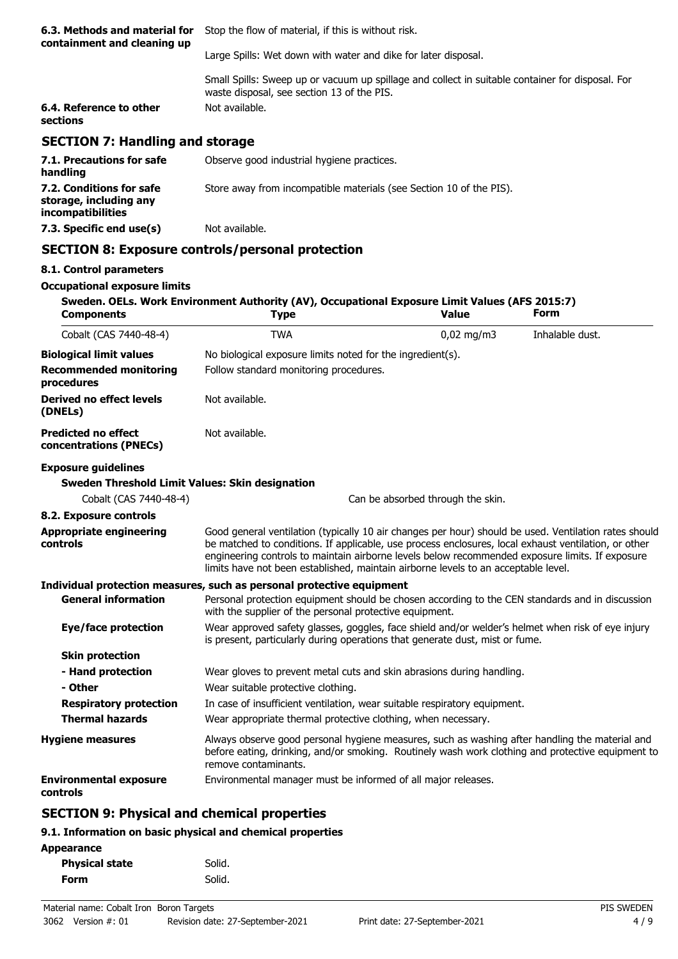| 6.3. Methods and material for<br>containment and cleaning up | Stop the flow of material, if this is without risk.                                                                                            |  |
|--------------------------------------------------------------|------------------------------------------------------------------------------------------------------------------------------------------------|--|
|                                                              | Large Spills: Wet down with water and dike for later disposal.                                                                                 |  |
|                                                              | Small Spills: Sweep up or vacuum up spillage and collect in suitable container for disposal. For<br>waste disposal, see section 13 of the PIS. |  |
| 6.4. Reference to other<br>sections                          | Not available.                                                                                                                                 |  |
| <b>SECTION 7: Handling and storage</b>                       |                                                                                                                                                |  |
| 7.1. Precautions for safe<br>handling                        | Observe good industrial hygiene practices.                                                                                                     |  |
| 7.2. Conditions for safe<br>storage, including any           | Store away from incompatible materials (see Section 10 of the PIS).                                                                            |  |

# **SECTION 8: Exposure controls/personal protection**

### **8.1. Control parameters**

**incompatibilities**

### **Occupational exposure limits**

**7.3. Specific end use(s)** Not available.

| <b>Components</b>                                    | Sweden. OELs. Work Environment Authority (AV), Occupational Exposure Limit Values (AFS 2015:7)<br><b>Type</b>                                                                                                                                                                                                                                                                                          | <b>Value</b> | Form            |
|------------------------------------------------------|--------------------------------------------------------------------------------------------------------------------------------------------------------------------------------------------------------------------------------------------------------------------------------------------------------------------------------------------------------------------------------------------------------|--------------|-----------------|
| Cobalt (CAS 7440-48-4)                               | <b>TWA</b>                                                                                                                                                                                                                                                                                                                                                                                             | $0,02$ mg/m3 | Inhalable dust. |
| <b>Biological limit values</b>                       | No biological exposure limits noted for the ingredient(s).                                                                                                                                                                                                                                                                                                                                             |              |                 |
| <b>Recommended monitoring</b><br>procedures          | Follow standard monitoring procedures.                                                                                                                                                                                                                                                                                                                                                                 |              |                 |
| Derived no effect levels<br>(DNELs)                  | Not available.                                                                                                                                                                                                                                                                                                                                                                                         |              |                 |
| <b>Predicted no effect</b><br>concentrations (PNECs) | Not available.                                                                                                                                                                                                                                                                                                                                                                                         |              |                 |
| <b>Exposure guidelines</b>                           |                                                                                                                                                                                                                                                                                                                                                                                                        |              |                 |
| Sweden Threshold Limit Values: Skin designation      |                                                                                                                                                                                                                                                                                                                                                                                                        |              |                 |
| Cobalt (CAS 7440-48-4)                               | Can be absorbed through the skin.                                                                                                                                                                                                                                                                                                                                                                      |              |                 |
| 8.2. Exposure controls                               |                                                                                                                                                                                                                                                                                                                                                                                                        |              |                 |
| <b>Appropriate engineering</b><br>controls           | Good general ventilation (typically 10 air changes per hour) should be used. Ventilation rates should<br>be matched to conditions. If applicable, use process enclosures, local exhaust ventilation, or other<br>engineering controls to maintain airborne levels below recommended exposure limits. If exposure<br>limits have not been established, maintain airborne levels to an acceptable level. |              |                 |
|                                                      | Individual protection measures, such as personal protective equipment                                                                                                                                                                                                                                                                                                                                  |              |                 |
| <b>General information</b>                           | Personal protection equipment should be chosen according to the CEN standards and in discussion<br>with the supplier of the personal protective equipment.                                                                                                                                                                                                                                             |              |                 |
| Eye/face protection                                  | Wear approved safety glasses, goggles, face shield and/or welder's helmet when risk of eye injury<br>is present, particularly during operations that generate dust, mist or fume.                                                                                                                                                                                                                      |              |                 |
| <b>Skin protection</b>                               |                                                                                                                                                                                                                                                                                                                                                                                                        |              |                 |
| - Hand protection                                    | Wear gloves to prevent metal cuts and skin abrasions during handling.                                                                                                                                                                                                                                                                                                                                  |              |                 |
| - Other                                              | Wear suitable protective clothing.                                                                                                                                                                                                                                                                                                                                                                     |              |                 |
| <b>Respiratory protection</b>                        | In case of insufficient ventilation, wear suitable respiratory equipment.                                                                                                                                                                                                                                                                                                                              |              |                 |
| <b>Thermal hazards</b>                               | Wear appropriate thermal protective clothing, when necessary.                                                                                                                                                                                                                                                                                                                                          |              |                 |
| <b>Hygiene measures</b>                              | Always observe good personal hygiene measures, such as washing after handling the material and<br>before eating, drinking, and/or smoking. Routinely wash work clothing and protective equipment to<br>remove contaminants.                                                                                                                                                                            |              |                 |
| <b>Environmental exposure</b><br>controls            | Environmental manager must be informed of all major releases.                                                                                                                                                                                                                                                                                                                                          |              |                 |
| SECTION Q: Dhysical and chamical proporties          |                                                                                                                                                                                                                                                                                                                                                                                                        |              |                 |

# **SECTION 9: Physical and chemical properties**

# **9.1. Information on basic physical and chemical properties**

## **Appearance**

| <b>Physical state</b> | Solid. |
|-----------------------|--------|
| Form                  | Solid. |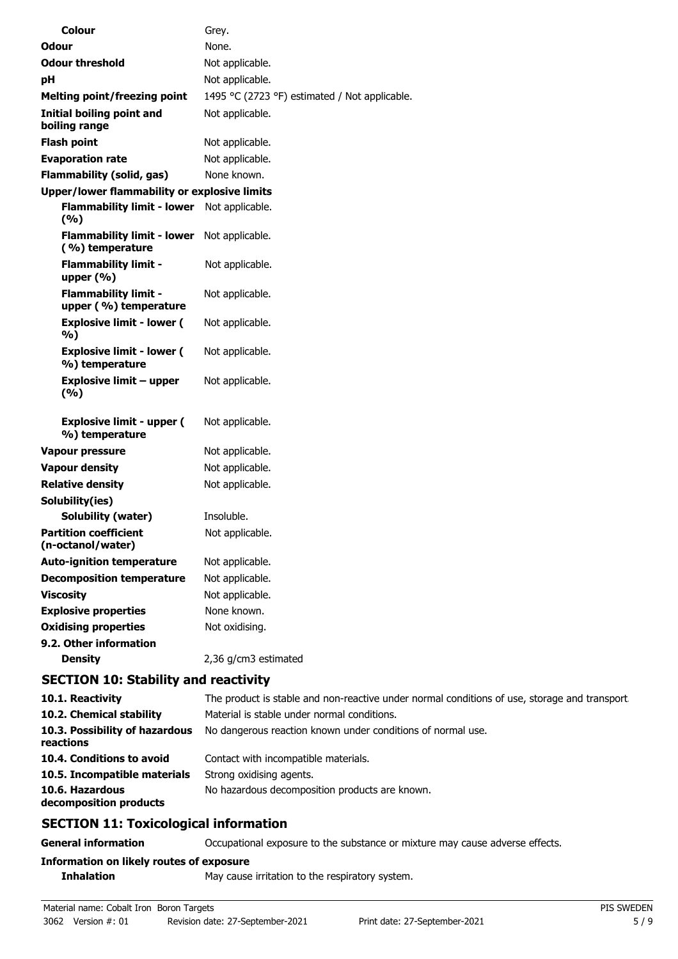| <b>Colour</b>                                        | Grey.                                         |
|------------------------------------------------------|-----------------------------------------------|
| Odour                                                | None.                                         |
| <b>Odour threshold</b>                               | Not applicable.                               |
| рH                                                   | Not applicable.                               |
| <b>Melting point/freezing point</b>                  | 1495 °C (2723 °F) estimated / Not applicable. |
| Initial boiling point and                            | Not applicable.                               |
| boiling range                                        |                                               |
| <b>Flash point</b>                                   | Not applicable.                               |
| <b>Evaporation rate</b>                              | Not applicable.                               |
| <b>Flammability (solid, gas)</b>                     | None known.                                   |
| Upper/lower flammability or explosive limits         |                                               |
| <b>Flammability limit - lower</b><br>(%)             | Not applicable.                               |
| <b>Flammability limit - lower</b><br>(%) temperature | Not applicable.                               |
| <b>Flammability limit -</b><br>upper $(\% )$         | Not applicable.                               |
| <b>Flammability limit -</b><br>upper (%) temperature | Not applicable.                               |
| <b>Explosive limit - lower (</b><br>%)               | Not applicable.                               |
| <b>Explosive limit - lower (</b><br>%) temperature   | Not applicable.                               |
| <b>Explosive limit - upper</b><br>(%)                | Not applicable.                               |
| <b>Explosive limit - upper (</b><br>%) temperature   | Not applicable.                               |
| <b>Vapour pressure</b>                               | Not applicable.                               |
| <b>Vapour density</b>                                | Not applicable.                               |
| <b>Relative density</b>                              | Not applicable.                               |
| Solubility(ies)                                      |                                               |
| Solubility (water)                                   | Insoluble.                                    |
| <b>Partition coefficient</b><br>(n-octanol/water)    | Not applicable.                               |
| <b>Auto-ignition temperature</b>                     | Not applicable.                               |
| <b>Decomposition temperature</b>                     | Not applicable.                               |
| <b>Viscosity</b>                                     | Not applicable.                               |
| <b>Explosive properties</b>                          | None known.                                   |
| <b>Oxidising properties</b>                          | Not oxidising.                                |
| 9.2. Other information                               |                                               |
| <b>Density</b>                                       | 2,36 g/cm3 estimated                          |

# **SECTION 10: Stability and reactivity**

| 10.1. Reactivity<br>10.2. Chemical stability<br>10.3. Possibility of hazardous<br>reactions | The product is stable and non-reactive under normal conditions of use, storage and transport.<br>Material is stable under normal conditions.<br>No dangerous reaction known under conditions of normal use. |
|---------------------------------------------------------------------------------------------|-------------------------------------------------------------------------------------------------------------------------------------------------------------------------------------------------------------|
| 10.4. Conditions to avoid                                                                   | Contact with incompatible materials.                                                                                                                                                                        |
| 10.5. Incompatible materials                                                                | Strong oxidising agents.                                                                                                                                                                                    |
| 10.6. Hazardous<br>decomposition products                                                   | No hazardous decomposition products are known.                                                                                                                                                              |

# **SECTION 11: Toxicological information**

### **General information CCCUPATION** Occupational exposure to the substance or mixture may cause adverse effects.

# **Information on likely routes of exposure**

**Inhalation** May cause irritation to the respiratory system.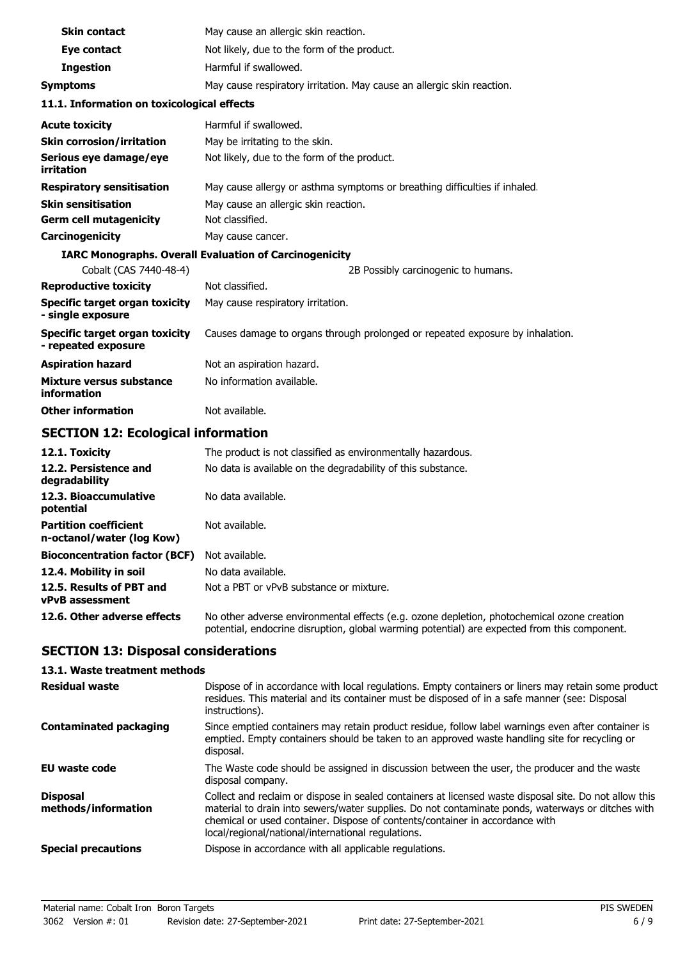| <b>Skin contact</b>                                   | May cause an allergic skin reaction.                                          |  |  |
|-------------------------------------------------------|-------------------------------------------------------------------------------|--|--|
| Eye contact                                           | Not likely, due to the form of the product.                                   |  |  |
| <b>Ingestion</b>                                      | Harmful if swallowed.                                                         |  |  |
| <b>Symptoms</b>                                       | May cause respiratory irritation. May cause an allergic skin reaction.        |  |  |
| 11.1. Information on toxicological effects            |                                                                               |  |  |
| <b>Acute toxicity</b>                                 | Harmful if swallowed.                                                         |  |  |
| <b>Skin corrosion/irritation</b>                      | May be irritating to the skin.                                                |  |  |
| Serious eye damage/eye<br>irritation                  | Not likely, due to the form of the product.                                   |  |  |
| <b>Respiratory sensitisation</b>                      | May cause allergy or asthma symptoms or breathing difficulties if inhaled.    |  |  |
| <b>Skin sensitisation</b>                             | May cause an allergic skin reaction.                                          |  |  |
| <b>Germ cell mutagenicity</b>                         | Not classified.                                                               |  |  |
| Carcinogenicity                                       | May cause cancer.                                                             |  |  |
|                                                       | <b>IARC Monographs. Overall Evaluation of Carcinogenicity</b>                 |  |  |
| Cobalt (CAS 7440-48-4)                                | 2B Possibly carcinogenic to humans.                                           |  |  |
| <b>Reproductive toxicity</b>                          | Not classified.                                                               |  |  |
| Specific target organ toxicity<br>- single exposure   | May cause respiratory irritation.                                             |  |  |
| Specific target organ toxicity<br>- repeated exposure | Causes damage to organs through prolonged or repeated exposure by inhalation. |  |  |
| <b>Aspiration hazard</b>                              | Not an aspiration hazard.                                                     |  |  |
| Mixture versus substance<br>information               | No information available.                                                     |  |  |
| <b>Other information</b>                              | Not available.                                                                |  |  |
|                                                       |                                                                               |  |  |

# **SECTION 12: Ecological information**

| 12.1. Toxicity                                            | The product is not classified as environmentally hazardous.                                                                                                                                |
|-----------------------------------------------------------|--------------------------------------------------------------------------------------------------------------------------------------------------------------------------------------------|
| 12.2. Persistence and<br>degradability                    | No data is available on the degradability of this substance.                                                                                                                               |
| 12.3. Bioaccumulative<br>potential                        | No data available.                                                                                                                                                                         |
| <b>Partition coefficient</b><br>n-octanol/water (log Kow) | Not available.                                                                                                                                                                             |
| <b>Bioconcentration factor (BCF)</b>                      | Not available.                                                                                                                                                                             |
| 12.4. Mobility in soil                                    | No data available.                                                                                                                                                                         |
| 12.5. Results of PBT and<br><b>vPvB</b> assessment        | Not a PBT or vPvB substance or mixture.                                                                                                                                                    |
| 12.6. Other adverse effects                               | No other adverse environmental effects (e.g. ozone depletion, photochemical ozone creation<br>potential, endocrine disruption, global warming potential) are expected from this component. |

# **SECTION 13: Disposal considerations**

# **13.1. Waste treatment methods**

| <b>Residual waste</b>                  | Dispose of in accordance with local regulations. Empty containers or liners may retain some product<br>residues. This material and its container must be disposed of in a safe manner (see: Disposal<br>instructions).                                                                                                                            |
|----------------------------------------|---------------------------------------------------------------------------------------------------------------------------------------------------------------------------------------------------------------------------------------------------------------------------------------------------------------------------------------------------|
| <b>Contaminated packaging</b>          | Since emptied containers may retain product residue, follow label warnings even after container is<br>emptied. Empty containers should be taken to an approved waste handling site for recycling or<br>disposal.                                                                                                                                  |
| EU waste code                          | The Waste code should be assigned in discussion between the user, the producer and the waste<br>disposal company.                                                                                                                                                                                                                                 |
| <b>Disposal</b><br>methods/information | Collect and reclaim or dispose in sealed containers at licensed waste disposal site. Do not allow this<br>material to drain into sewers/water supplies. Do not contaminate ponds, waterways or ditches with<br>chemical or used container. Dispose of contents/container in accordance with<br>local/regional/national/international regulations. |
| <b>Special precautions</b>             | Dispose in accordance with all applicable regulations.                                                                                                                                                                                                                                                                                            |
|                                        |                                                                                                                                                                                                                                                                                                                                                   |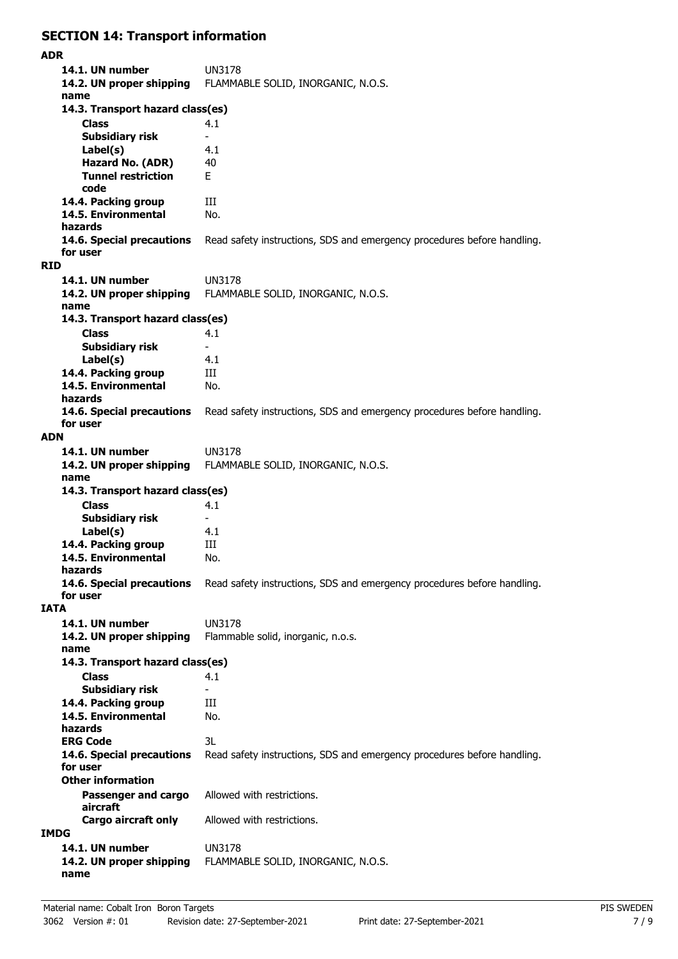# **SECTION 14: Transport information**

**ADR 14.1. UN number** UN3178 **14.2. UN proper shipping** FLAMMABLE SOLID, INORGANIC, N.O.S. **name Class** 4.1 **14.3. Transport hazard class(es) Subsidiary risk Label(s)** 4.1 **Hazard No. (ADR)** 40 **Tunnel restriction** E **code 14.4. Packing group III 14.5. Environmental** No. **hazards 14.6. Special precautions** Read safety instructions, SDS and emergency procedures before handling. **for user RID 14.1. UN number** UN3178 **14.2. UN proper shipping** FLAMMABLE SOLID, INORGANIC, N.O.S. **name Class** 4.1 **14.3. Transport hazard class(es) Subsidiary risk Label(s)** 4.1 **14.4. Packing group III 14.5. Environmental** No. **hazards 14.6. Special precautions** Read safety instructions, SDS and emergency procedures before handling. **for user ADN 14.1. UN number** UN3178 **14.2. UN proper shipping** FLAMMABLE SOLID, INORGANIC, N.O.S. **name Class** 4.1 **14.3. Transport hazard class(es) Subsidiary risk Label(s)** 4.1 **14.4. Packing group III 14.5. Environmental** No. **hazards** 14.6. Special precautions Read safety instructions, SDS and emergency procedures before handling. **for user IATA 14.1. UN number** UN3178 **14.2. UN proper shipping** Flammable solid, inorganic, n.o.s. **name Class** 4.1 **14.3. Transport hazard class(es) Subsidiary risk 14.4. Packing group III 14.5. Environmental** No. **hazards ERG Code** 3L **14.6. Special precautions** Read safety instructions, SDS and emergency procedures before handling. **for user Passenger and cargo** Allowed with restrictions. **aircraft Other information Cargo aircraft only** Allowed with restrictions. **IMDG 14.1. UN number** UN3178 **14.2. UN proper shipping** FLAMMABLE SOLID, INORGANIC, N.O.S. **name**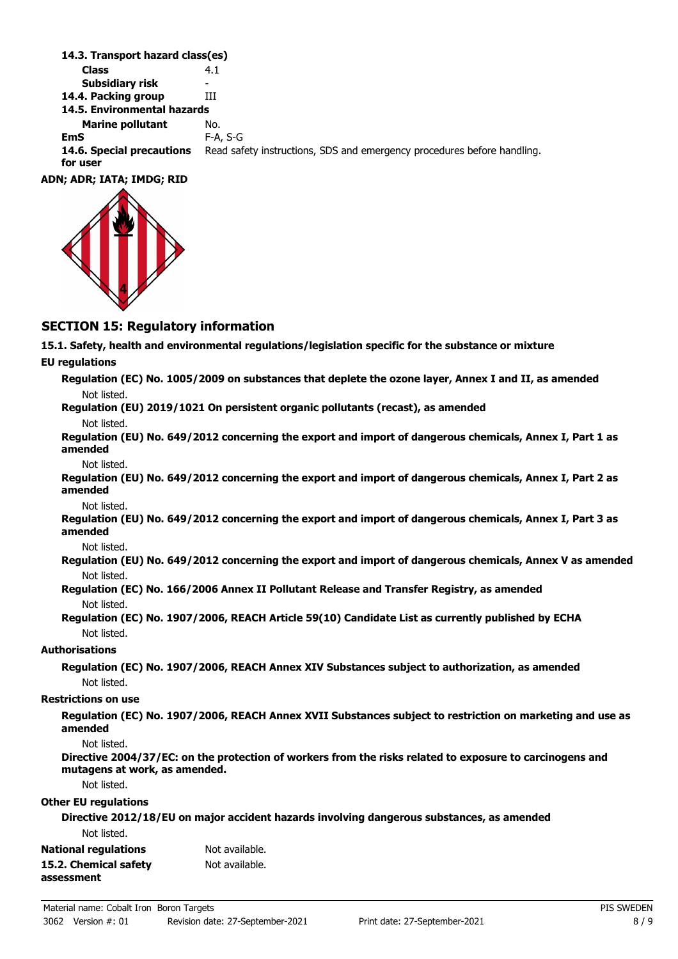| 14.3. Transport hazard class(es) |                                                                         |
|----------------------------------|-------------------------------------------------------------------------|
| <b>Class</b>                     | 4.1                                                                     |
| Subsidiary risk                  | ۰                                                                       |
| 14.4. Packing group              | Ш                                                                       |
| 14.5. Environmental hazards      |                                                                         |
| <b>Marine pollutant</b>          | No.                                                                     |
| <b>EmS</b>                       | $F-A. S-G$                                                              |
| 14.6. Special precautions        | Read safety instructions, SDS and emergency procedures before handling. |
| for user                         |                                                                         |
| ADN; ADR; IATA; IMDG; RID        |                                                                         |



# **SECTION 15: Regulatory information**

**15.1. Safety, health and environmental regulations/legislation specific for the substance or mixture**

### **EU regulations**

|             |  |  |   | Regulation (EC) No. 1005/2009 on substances that deplete the ozone layer, Annex I and II, as amended |  |
|-------------|--|--|---|------------------------------------------------------------------------------------------------------|--|
| Not listed. |  |  | . |                                                                                                      |  |

**Regulation (EU) 2019/1021 On persistent organic pollutants (recast), as amended**

Not listed.

**Regulation (EU) No. 649/2012 concerning the export and import of dangerous chemicals, Annex I, Part 1 as amended**

Not listed.

**Regulation (EU) No. 649/2012 concerning the export and import of dangerous chemicals, Annex I, Part 2 as amended**

Not listed.

**Regulation (EU) No. 649/2012 concerning the export and import of dangerous chemicals, Annex I, Part 3 as amended**

Not listed.

**Regulation (EU) No. 649/2012 concerning the export and import of dangerous chemicals, Annex V as amended** Not listed.

**Regulation (EC) No. 166/2006 Annex II Pollutant Release and Transfer Registry, as amended** Not listed.

**Regulation (EC) No. 1907/2006, REACH Article 59(10) Candidate List as currently published by ECHA** Not listed.

### **Authorisations**

**Regulation (EC) No. 1907/2006, REACH Annex XIV Substances subject to authorization, as amended** Not listed.

### **Restrictions on use**

**Regulation (EC) No. 1907/2006, REACH Annex XVII Substances subject to restriction on marketing and use as amended**

Not listed.

**Directive 2004/37/EC: on the protection of workers from the risks related to exposure to carcinogens and mutagens at work, as amended.**

Not listed.

### **Other EU regulations**

**Directive 2012/18/EU on major accident hazards involving dangerous substances, as amended** Not listed.

| National regulations  | Not available. |
|-----------------------|----------------|
| 15.2. Chemical safety | Not available. |
| assessment            |                |